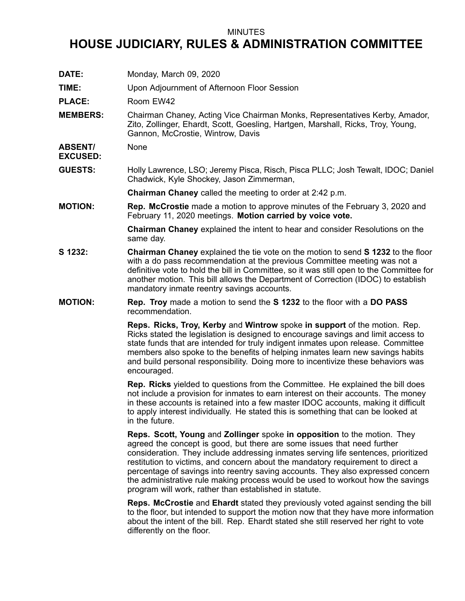## MINUTES

## **HOUSE JUDICIARY, RULES & ADMINISTRATION COMMITTEE**

**DATE:** Monday, March 09, 2020 **TIME:** Upon Adjournment of Afternoon Floor Session PLACE: Room EW42 **MEMBERS:** Chairman Chaney, Acting Vice Chairman Monks, Representatives Kerby, Amador, Zito, Zollinger, Ehardt, Scott, Goesling, Hartgen, Marshall, Ricks, Troy, Young, Gannon, McCrostie, Wintrow, Davis **ABSENT/ EXCUSED:** None **GUESTS:** Holly Lawrence, LSO; Jeremy Pisca, Risch, Pisca PLLC; Josh Tewalt, IDOC; Daniel Chadwick, Kyle Shockey, Jason Zimmerman, **Chairman Chaney** called the meeting to order at 2:42 p.m. **MOTION: Rep. McCrostie** made <sup>a</sup> motion to approve minutes of the February 3, 2020 and February 11, 2020 meetings. **Motion carried by voice vote. Chairman Chaney** explained the intent to hear and consider Resolutions on the same day. **S 1232: Chairman Chaney** explained the tie vote on the motion to send **S 1232** to the floor with <sup>a</sup> do pass recommendation at the previous Committee meeting was not <sup>a</sup> definitive vote to hold the bill in Committee, so it was still open to the Committee for another motion. This bill allows the Department of Correction (IDOC) to establish mandatory inmate reentry savings accounts. **MOTION: Rep. Troy** made <sup>a</sup> motion to send the **S 1232** to the floor with <sup>a</sup> **DO PASS** recommendation. **Reps. Ricks, Troy, Kerby** and **Wintrow** spoke **in support** of the motion. Rep. Ricks stated the legislation is designed to encourage savings and limit access to state funds that are intended for truly indigent inmates upon release. Committee members also spoke to the benefits of helping inmates learn new savings habits and build personal responsibility. Doing more to incentivize these behaviors was encouraged. **Rep. Ricks** yielded to questions from the Committee. He explained the bill does not include <sup>a</sup> provision for inmates to earn interest on their accounts. The money in these accounts is retained into <sup>a</sup> few master IDOC accounts, making it difficult to apply interest individually. He stated this is something that can be looked at in the future. **Reps. Scott, Young** and **Zollinger** spoke **in opposition** to the motion. They agreed the concept is good, but there are some issues that need further consideration. They include addressing inmates serving life sentences, prioritized restitution to victims, and concern about the mandatory requirement to direct <sup>a</sup> percentage of savings into reentry saving accounts. They also expressed concern the administrative rule making process would be used to workout how the savings program will work, rather than established in statute. **Reps. McCrostie** and **Ehardt** stated they previously voted against sending the bill to the floor, but intended to support the motion now that they have more information about the intent of the bill. Rep. Ehardt stated she still reserved her right to vote

differently on the floor.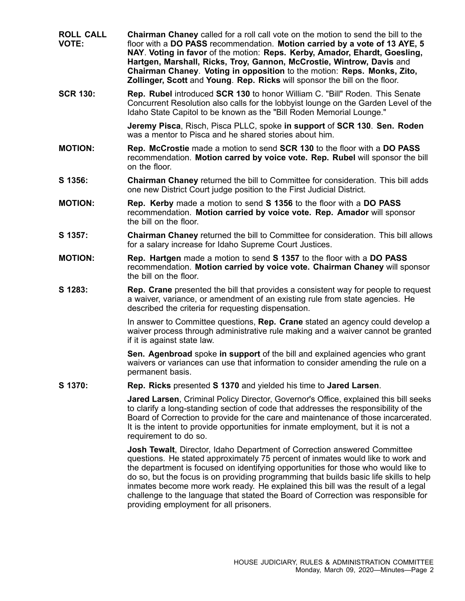- **ROLL CALL VOTE: Chairman Chaney** called for <sup>a</sup> roll call vote on the motion to send the bill to the floor with <sup>a</sup> **DO PASS** recommendation. **Motion carried by <sup>a</sup> vote of 13 AYE, 5 NAY**. **Voting in favor** of the motion: **Reps. Kerby, Amador, Ehardt, Goesling, Hartgen, Marshall, Ricks, Troy, Gannon, McCrostie, Wintrow, Davis** and **Chairman Chaney**. **Voting in opposition** to the motion: **Reps. Monks, Zito, Zollinger, Scott** and **Young**. **Rep. Ricks** will sponsor the bill on the floor.
- **SCR 130: Rep. Rubel** introduced **SCR 130** to honor William C. "Bill" Roden. This Senate Concurrent Resolution also calls for the lobbyist lounge on the Garden Level of the Idaho State Capitol to be known as the "Bill Roden Memorial Lounge."

**Jeremy Pisca**, Risch, Pisca PLLC, spoke **in support** of **SCR 130**. **Sen. Roden** was a mentor to Pisca and he shared stories about him.

- **MOTION: Rep. McCrostie** made <sup>a</sup> motion to send **SCR 130** to the floor with <sup>a</sup> **DO PASS** recommendation. **Motion carred by voice vote. Rep. Rubel** will sponsor the bill on the floor.
- **S 1356: Chairman Chaney** returned the bill to Committee for consideration. This bill adds one new District Court judge position to the First Judicial District.
- **MOTION: Rep. Kerby** made <sup>a</sup> motion to send **S 1356** to the floor with <sup>a</sup> **DO PASS** recommendation. **Motion carried by voice vote. Rep. Amador** will sponsor the bill on the floor.
- **S 1357: Chairman Chaney** returned the bill to Committee for consideration. This bill allows for <sup>a</sup> salary increase for Idaho Supreme Court Justices.
- **MOTION: Rep. Hartgen** made <sup>a</sup> motion to send **S 1357** to the floor with <sup>a</sup> **DO PASS** recommendation. **Motion carried by voice vote. Chairman Chaney** will sponsor the bill on the floor.
- **S 1283: Rep. Crane** presented the bill that provides <sup>a</sup> consistent way for people to request <sup>a</sup> waiver, variance, or amendment of an existing rule from state agencies. He described the criteria for requesting dispensation.

In answer to Committee questions, **Rep. Crane** stated an agency could develop <sup>a</sup> waiver process through administrative rule making and <sup>a</sup> waiver cannot be granted if it is against state law.

**Sen. Agenbroad** spoke **in support** of the bill and explained agencies who grant waivers or variances can use that information to consider amending the rule on <sup>a</sup> permanent basis.

**S 1370: Rep. Ricks** presented **S 1370** and yielded his time to **Jared Larsen**.

**Jared Larsen**, Criminal Policy Director, Governor's Office, explained this bill seeks to clarify <sup>a</sup> long-standing section of code that addresses the responsibility of the Board of Correction to provide for the care and maintenance of those incarcerated. It is the intent to provide opportunities for inmate employment, but it is not <sup>a</sup> requirement to do so.

**Josh Tewalt**, Director, Idaho Department of Correction answered Committee questions. He stated approximately 75 percent of inmates would like to work and the department is focused on identifying opportunities for those who would like to do so, but the focus is on providing programming that builds basic life skills to help inmates become more work ready. He explained this bill was the result of <sup>a</sup> legal challenge to the language that stated the Board of Correction was responsible for providing employment for all prisoners.